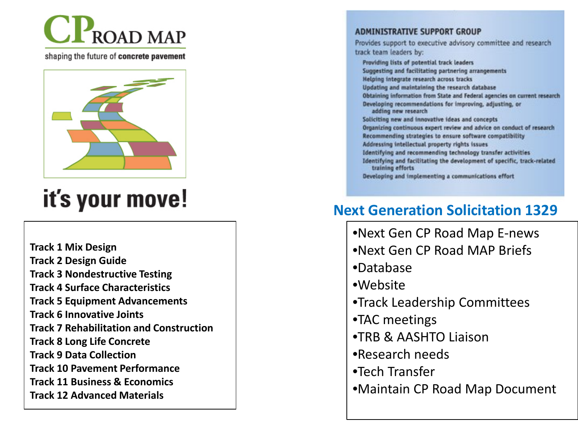

shaping the future of concrete pavement



## it's your move!

**Track 1 Mix Design Track 2 Design Guide Track 3 Nondestructive Testing Track 4 Surface Characteristics Track 5 Equipment Advancements Track 6 Innovative Joints Track 7 Rehabilitation and Construction Track 8 Long Life Concrete Track 9 Data Collection Track 10 Pavement Performance Track 11 Business & Economics Track 12 Advanced Materials**

#### ADMINISTRATIVE SUPPORT GROUP

Provides support to executive advisory committee and research track team leaders by:

Providing lists of potential track leaders Suggesting and facilitating partnering arrangements Helping integrate research across tracks Updating and maintaining the research database Obtaining information from State and Federal agencies on current research Developing recommendations for improving, adjusting, or adding new research Soliciting new and innovative ideas and concepts Organizing continuous expert review and advice on conduct of research Recommending strategies to ensure software compatibility Addressing intellectual property rights issues Identifying and recommending technology transfer activities Identifying and facilitating the development of specific, track-related training efforts Developing and implementing a communications effort

#### **Next Generation Solicitation 1329**

- •Next Gen CP Road Map E -news
- •Next Gen CP Road MAP Briefs
- •Database
- •Website
- •Track Leadership Committees
- •TAC meetings
- •TRB & AASHTO Liaison
- •Research needs
- •Tech Transfer
- •Maintain CP Road Map Document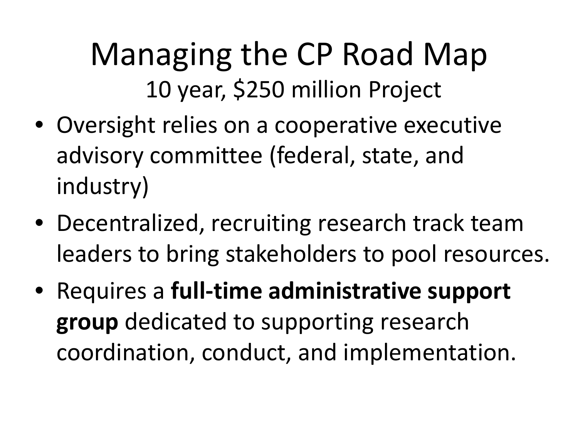## Managing the CP Road Map 10 year, \$250 million Project

- Oversight relies on a cooperative executive advisory committee (federal, state, and industry)
- Decentralized, recruiting research track team leaders to bring stakeholders to pool resources.
- Requires a **full-time administrative support group** dedicated to supporting research coordination, conduct, and implementation.